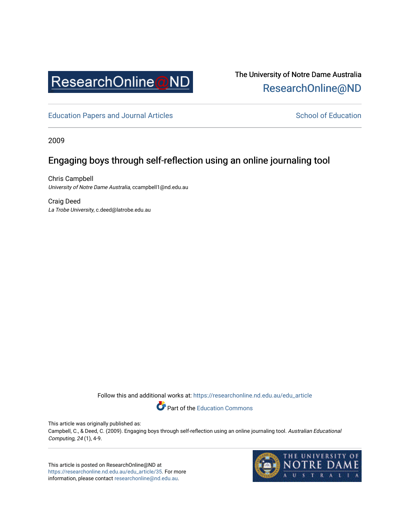

The University of Notre Dame Australia [ResearchOnline@ND](https://researchonline.nd.edu.au/) 

[Education Papers and Journal Articles](https://researchonline.nd.edu.au/edu_article) [School of Education](https://researchonline.nd.edu.au/edu) School of Education

2009

## Engaging boys through self-reflection using an online journaling tool

Chris Campbell University of Notre Dame Australia, ccampbell1@nd.edu.au

Craig Deed La Trobe University, c.deed@latrobe.edu.au

Follow this and additional works at: [https://researchonline.nd.edu.au/edu\\_article](https://researchonline.nd.edu.au/edu_article?utm_source=researchonline.nd.edu.au%2Fedu_article%2F35&utm_medium=PDF&utm_campaign=PDFCoverPages)

Part of the [Education Commons](http://network.bepress.com/hgg/discipline/784?utm_source=researchonline.nd.edu.au%2Fedu_article%2F35&utm_medium=PDF&utm_campaign=PDFCoverPages) 

This article was originally published as:

Campbell, C., & Deed, C. (2009). Engaging boys through self-reflection using an online journaling tool. Australian Educational Computing, 24 (1), 4-9.

This article is posted on ResearchOnline@ND at [https://researchonline.nd.edu.au/edu\\_article/35.](https://researchonline.nd.edu.au/edu_article/35) For more information, please contact [researchonline@nd.edu.au.](mailto:researchonline@nd.edu.au)

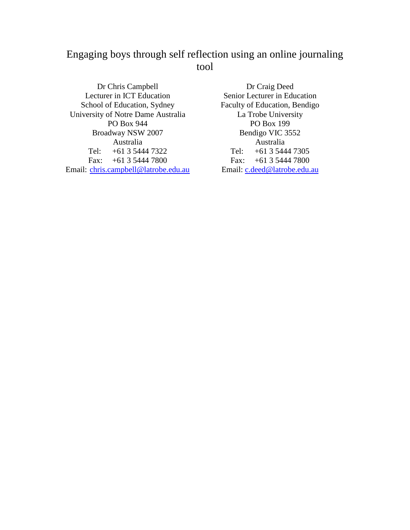# Engaging boys through self reflection using an online journaling tool

Dr Chris Campbell Lecturer in ICT Education School of Education, Sydney University of Notre Dame Australia PO Box 944 Broadway NSW 2007 Australia Tel: +61 3 5444 7322 Fax: +61 3 5444 7800 Email: chris.campbell@latrobe.edu.au

Dr Craig Deed Senior Lecturer in Education Faculty of Education, Bendigo La Trobe University PO Box 199 Bendigo VIC 3552 Australia Tel: +61 3 5444 7305 Fax: +61 3 5444 7800 Email: c.deed@latrobe.edu.au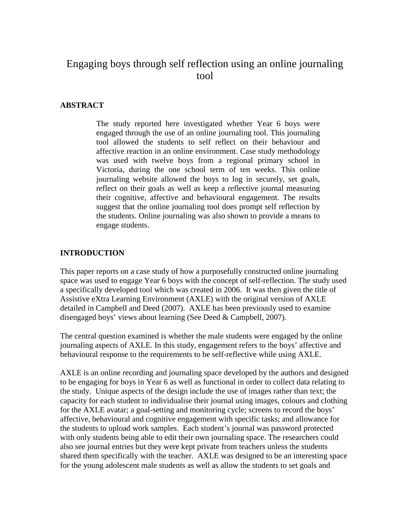## Engaging boys through self reflection using an online journaling tool

### **ABSTRACT**

The study reported here investigated whether Year 6 boys were engaged through the use of an online journaling tool. This journaling tool allowed the students to self reflect on their behaviour and affective reaction in an online environment. Case study methodology was used with twelve boys from a regional primary school in Victoria, during the one school term of ten weeks. This online journaling website allowed the boys to log in securely, set goals, reflect on their goals as well as keep a reflective journal measuring their cognitive, affective and behavioural engagement. The results suggest that the online journaling tool does prompt self reflection by the students. Online journaling was also shown to provide a means to engage students.

#### **INTRODUCTION**

This paper reports on a case study of how a purposefully constructed online journaling space was used to engage Year 6 boys with the concept of self-reflection. The study used a specifically developed tool which was created in 2006. It was then given the title of Assistive eXtra Learning Environment (AXLE) with the original version of AXLE detailed in Campbell and Deed (2007). AXLE has been previously used to examine disengaged boys' views about learning (See Deed & Campbell, 2007).

The central question examined is whether the male students were engaged by the online journaling aspects of AXLE. In this study, engagement refers to the boys' affective and behavioural response to the requirements to be self-reflective while using AXLE.

AXLE is an online recording and journaling space developed by the authors and designed to be engaging for boys in Year 6 as well as functional in order to collect data relating to the study. Unique aspects of the design include the use of images rather than text; the capacity for each student to individualise their journal using images, colours and clothing for the AXLE avatar; a goal-setting and monitoring cycle; screens to record the boys' affective, behavioural and cognitive engagement with specific tasks; and allowance for the students to upload work samples. Each student's journal was password protected with only students being able to edit their own journaling space. The researchers could also see journal entries but they were kept private from teachers unless the students shared them specifically with the teacher. AXLE was designed to be an interesting space for the young adolescent male students as well as allow the students to set goals and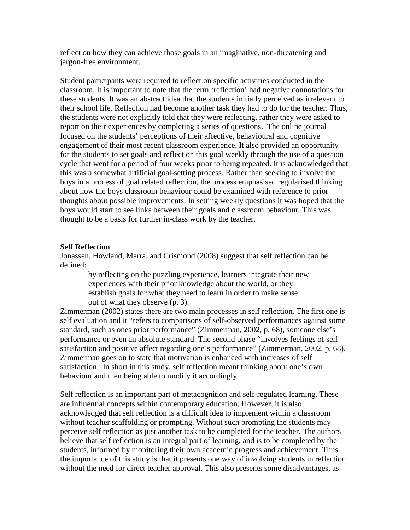reflect on how they can achieve those goals in an imaginative, non-threatening and jargon-free environment.

Student participants were required to reflect on specific activities conducted in the classroom. It is important to note that the term 'reflection' had negative connotations for these students. It was an abstract idea that the students initially perceived as irrelevant to their school life. Reflection had become another task they had to do for the teacher. Thus, the students were not explicitly told that they were reflecting, rather they were asked to report on their experiences by completing a series of questions. The online journal focused on the students' perceptions of their affective, behavioural and cognitive engagement of their most recent classroom experience. It also provided an opportunity for the students to set goals and reflect on this goal weekly through the use of a question cycle that went for a period of four weeks prior to being repeated. It is acknowledged that this was a somewhat artificial goal-setting process. Rather than seeking to involve the boys in a process of goal related reflection, the process emphasised regularised thinking about how the boys classroom behaviour could be examined with reference to prior thoughts about possible improvements. In setting weekly questions it was hoped that the boys would start to see links between their goals and classroom behaviour. This was thought to be a basis for further in-class work by the teacher.

#### **Self Reflection**

Jonassen, Howland, Marra, and Crismond (2008) suggest that self reflection can be defined:

> by reflecting on the puzzling experience, learners integrate their new experiences with their prior knowledge about the world, or they establish goals for what they need to learn in order to make sense out of what they observe (p. 3).

Zimmerman (2002) states there are two main processes in self reflection. The first one is self evaluation and it "refers to comparisons of self-observed performances against some standard, such as ones prior performance" (Zimmerman, 2002, p. 68), someone else's performance or even an absolute standard. The second phase "involves feelings of self satisfaction and positive affect regarding one's performance" (Zimmerman, 2002, p. 68). Zimmerman goes on to state that motivation is enhanced with increases of self satisfaction. In short in this study, self reflection meant thinking about one's own behaviour and then being able to modify it accordingly.

Self reflection is an important part of metacognition and self-regulated learning. These are influential concepts within contemporary education. However, it is also acknowledged that self reflection is a difficult idea to implement within a classroom without teacher scaffolding or prompting. Without such prompting the students may perceive self reflection as just another task to be completed for the teacher. The authors believe that self reflection is an integral part of learning, and is to be completed by the students, informed by monitoring their own academic progress and achievement. Thus the importance of this study is that it presents one way of involving students in reflection without the need for direct teacher approval. This also presents some disadvantages, as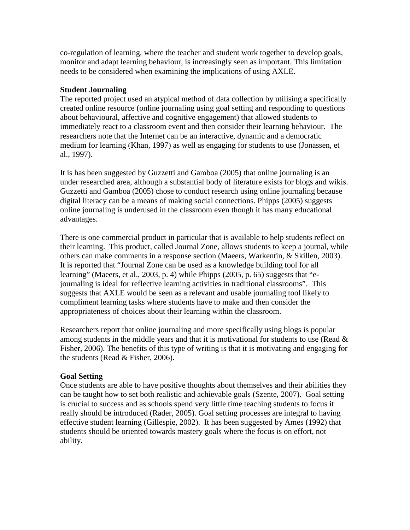co-regulation of learning, where the teacher and student work together to develop goals, monitor and adapt learning behaviour, is increasingly seen as important. This limitation needs to be considered when examining the implications of using AXLE.

### **Student Journaling**

The reported project used an atypical method of data collection by utilising a specifically created online resource (online journaling using goal setting and responding to questions about behavioural, affective and cognitive engagement) that allowed students to immediately react to a classroom event and then consider their learning behaviour. The researchers note that the Internet can be an interactive, dynamic and a democratic medium for learning (Khan, 1997) as well as engaging for students to use (Jonassen, et al., 1997).

It is has been suggested by Guzzetti and Gamboa (2005) that online journaling is an under researched area, although a substantial body of literature exists for blogs and wikis. Guzzetti and Gamboa (2005) chose to conduct research using online journaling because digital literacy can be a means of making social connections. Phipps (2005) suggests online journaling is underused in the classroom even though it has many educational advantages.

There is one commercial product in particular that is available to help students reflect on their learning. This product, called Journal Zone, allows students to keep a journal, while others can make comments in a response section (Maeers, Warkentin, & Skillen, 2003). It is reported that "Journal Zone can be used as a knowledge building tool for all learning" (Maeers, et al., 2003, p. 4) while Phipps (2005, p. 65) suggests that "ejournaling is ideal for reflective learning activities in traditional classrooms". This suggests that AXLE would be seen as a relevant and usable journaling tool likely to compliment learning tasks where students have to make and then consider the appropriateness of choices about their learning within the classroom.

Researchers report that online journaling and more specifically using blogs is popular among students in the middle years and that it is motivational for students to use (Read  $\&$ Fisher, 2006). The benefits of this type of writing is that it is motivating and engaging for the students (Read & Fisher, 2006).

### **Goal Setting**

Once students are able to have positive thoughts about themselves and their abilities they can be taught how to set both realistic and achievable goals (Szente, 2007). Goal setting is crucial to success and as schools spend very little time teaching students to focus it really should be introduced (Rader, 2005). Goal setting processes are integral to having effective student learning (Gillespie, 2002). It has been suggested by Ames (1992) that students should be oriented towards mastery goals where the focus is on effort, not ability.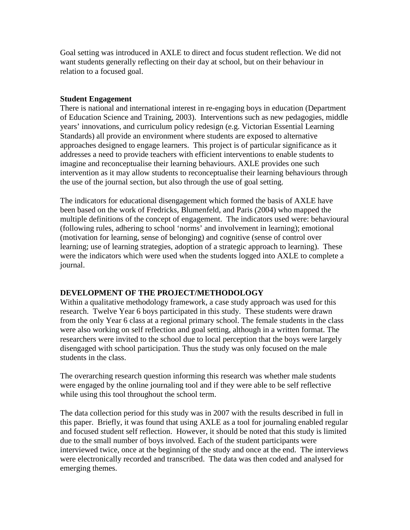Goal setting was introduced in AXLE to direct and focus student reflection. We did not want students generally reflecting on their day at school, but on their behaviour in relation to a focused goal.

### **Student Engagement**

There is national and international interest in re-engaging boys in education (Department of Education Science and Training, 2003). Interventions such as new pedagogies, middle years' innovations, and curriculum policy redesign (e.g. Victorian Essential Learning Standards) all provide an environment where students are exposed to alternative approaches designed to engage learners. This project is of particular significance as it addresses a need to provide teachers with efficient interventions to enable students to imagine and reconceptualise their learning behaviours. AXLE provides one such intervention as it may allow students to reconceptualise their learning behaviours through the use of the journal section, but also through the use of goal setting.

The indicators for educational disengagement which formed the basis of AXLE have been based on the work of Fredricks, Blumenfeld, and Paris (2004) who mapped the multiple definitions of the concept of engagement. The indicators used were: behavioural (following rules, adhering to school 'norms' and involvement in learning); emotional (motivation for learning, sense of belonging) and cognitive (sense of control over learning; use of learning strategies, adoption of a strategic approach to learning). These were the indicators which were used when the students logged into AXLE to complete a journal.

### **DEVELOPMENT OF THE PROJECT/METHODOLOGY**

Within a qualitative methodology framework, a case study approach was used for this research. Twelve Year 6 boys participated in this study. These students were drawn from the only Year 6 class at a regional primary school. The female students in the class were also working on self reflection and goal setting, although in a written format. The researchers were invited to the school due to local perception that the boys were largely disengaged with school participation. Thus the study was only focused on the male students in the class.

The overarching research question informing this research was whether male students were engaged by the online journaling tool and if they were able to be self reflective while using this tool throughout the school term.

The data collection period for this study was in 2007 with the results described in full in this paper. Briefly, it was found that using AXLE as a tool for journaling enabled regular and focused student self reflection. However, it should be noted that this study is limited due to the small number of boys involved. Each of the student participants were interviewed twice, once at the beginning of the study and once at the end. The interviews were electronically recorded and transcribed. The data was then coded and analysed for emerging themes.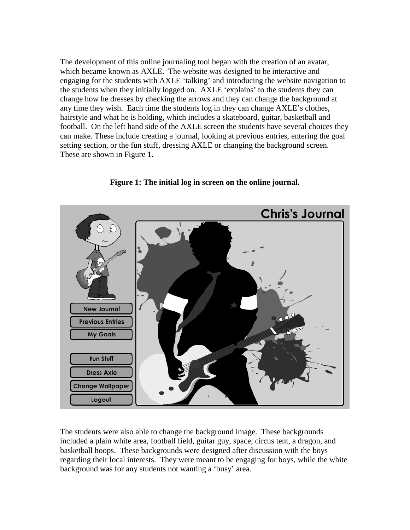The development of this online journaling tool began with the creation of an avatar, which became known as AXLE. The website was designed to be interactive and engaging for the students with AXLE 'talking' and introducing the website navigation to the students when they initially logged on. AXLE 'explains' to the students they can change how he dresses by checking the arrows and they can change the background at any time they wish. Each time the students log in they can change AXLE's clothes, hairstyle and what he is holding, which includes a skateboard, guitar, basketball and football. On the left hand side of the AXLE screen the students have several choices they can make. These include creating a journal, looking at previous entries, entering the goal setting section, or the fun stuff, dressing AXLE or changing the background screen. These are shown in Figure 1.



**Figure 1: The initial log in screen on the online journal.** 

The students were also able to change the background image. These backgrounds included a plain white area, football field, guitar guy, space, circus tent, a dragon, and basketball hoops. These backgrounds were designed after discussion with the boys regarding their local interests. They were meant to be engaging for boys, while the white background was for any students not wanting a 'busy' area.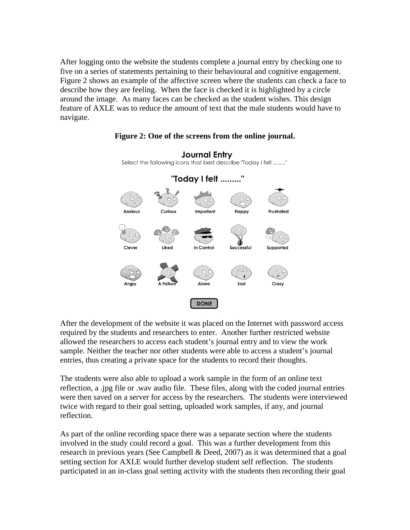After logging onto the website the students complete a journal entry by checking one to five on a series of statements pertaining to their behavioural and cognitive engagement. Figure 2 shows an example of the affective screen where the students can check a face to describe how they are feeling. When the face is checked it is highlighted by a circle around the image. As many faces can be checked as the student wishes. This design feature of AXLE was to reduce the amount of text that the male students would have to navigate.



#### **Figure 2: One of the screens from the online journal.**

Journal Entry

After the development of the website it was placed on the Internet with password access required by the students and researchers to enter. Another further restricted website allowed the researchers to access each student's journal entry and to view the work sample. Neither the teacher nor other students were able to access a student's journal entries, thus creating a private space for the students to record their thoughts.

The students were also able to upload a work sample in the form of an online text reflection, a .jpg file or .wav audio file. These files, along with the coded journal entries were then saved on a server for access by the researchers. The students were interviewed twice with regard to their goal setting, uploaded work samples, if any, and journal reflection.

As part of the online recording space there was a separate section where the students involved in the study could record a goal. This was a further development from this research in previous years (See Campbell & Deed, 2007) as it was determined that a goal setting section for AXLE would further develop student self reflection. The students participated in an in-class goal setting activity with the students then recording their goal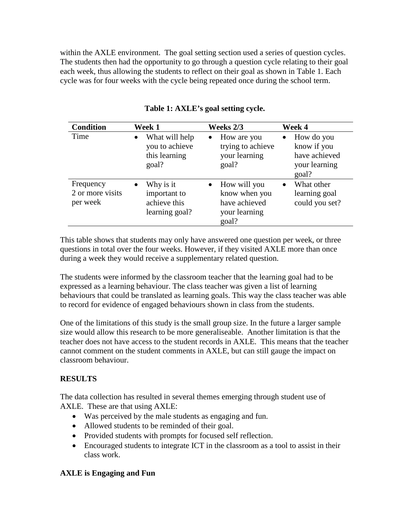within the AXLE environment. The goal setting section used a series of question cycles. The students then had the opportunity to go through a question cycle relating to their goal each week, thus allowing the students to reflect on their goal as shown in Table 1. Each cycle was for four weeks with the cycle being repeated once during the school term.

| <b>Condition</b>                          | Week 1                                                                   | Weeks 2/3                                                                             | Week 4                                                                            |
|-------------------------------------------|--------------------------------------------------------------------------|---------------------------------------------------------------------------------------|-----------------------------------------------------------------------------------|
| Time                                      | What will help<br>$\bullet$<br>you to achieve<br>this learning<br>goal?  | How are you<br>$\bullet$<br>trying to achieve<br>your learning<br>goal?               | How do you<br>$\bullet$<br>know if you<br>have achieved<br>your learning<br>goal? |
| Frequency<br>2 or more visits<br>per week | Why is it<br>$\bullet$<br>important to<br>achieve this<br>learning goal? | How will you<br>$\bullet$<br>know when you<br>have achieved<br>your learning<br>goal? | What other<br>$\bullet$<br>learning goal<br>could you set?                        |

### **Table 1: AXLE's goal setting cycle.**

This table shows that students may only have answered one question per week, or three questions in total over the four weeks. However, if they visited AXLE more than once during a week they would receive a supplementary related question.

The students were informed by the classroom teacher that the learning goal had to be expressed as a learning behaviour. The class teacher was given a list of learning behaviours that could be translated as learning goals. This way the class teacher was able to record for evidence of engaged behaviours shown in class from the students.

One of the limitations of this study is the small group size. In the future a larger sample size would allow this research to be more generaliseable. Another limitation is that the teacher does not have access to the student records in AXLE. This means that the teacher cannot comment on the student comments in AXLE, but can still gauge the impact on classroom behaviour.

### **RESULTS**

The data collection has resulted in several themes emerging through student use of AXLE. These are that using AXLE:

- Was perceived by the male students as engaging and fun.
- Allowed students to be reminded of their goal.
- Provided students with prompts for focused self reflection.
- Encouraged students to integrate ICT in the classroom as a tool to assist in their class work.

### **AXLE is Engaging and Fun**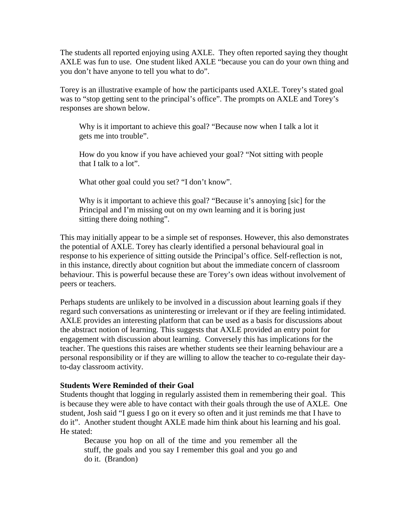The students all reported enjoying using AXLE. They often reported saying they thought AXLE was fun to use. One student liked AXLE "because you can do your own thing and you don't have anyone to tell you what to do".

Torey is an illustrative example of how the participants used AXLE. Torey's stated goal was to "stop getting sent to the principal's office". The prompts on AXLE and Torey's responses are shown below.

Why is it important to achieve this goal? "Because now when I talk a lot it gets me into trouble".

How do you know if you have achieved your goal? "Not sitting with people that I talk to a lot".

What other goal could you set? "I don't know".

Why is it important to achieve this goal? "Because it's annoying [sic] for the Principal and I'm missing out on my own learning and it is boring just sitting there doing nothing".

This may initially appear to be a simple set of responses. However, this also demonstrates the potential of AXLE. Torey has clearly identified a personal behavioural goal in response to his experience of sitting outside the Principal's office. Self-reflection is not, in this instance, directly about cognition but about the immediate concern of classroom behaviour. This is powerful because these are Torey's own ideas without involvement of peers or teachers.

Perhaps students are unlikely to be involved in a discussion about learning goals if they regard such conversations as uninteresting or irrelevant or if they are feeling intimidated. AXLE provides an interesting platform that can be used as a basis for discussions about the abstract notion of learning. This suggests that AXLE provided an entry point for engagement with discussion about learning. Conversely this has implications for the teacher. The questions this raises are whether students see their learning behaviour are a personal responsibility or if they are willing to allow the teacher to co-regulate their dayto-day classroom activity.

### **Students Were Reminded of their Goal**

Students thought that logging in regularly assisted them in remembering their goal. This is because they were able to have contact with their goals through the use of AXLE. One student, Josh said "I guess I go on it every so often and it just reminds me that I have to do it". Another student thought AXLE made him think about his learning and his goal. He stated:

Because you hop on all of the time and you remember all the stuff, the goals and you say I remember this goal and you go and do it. (Brandon)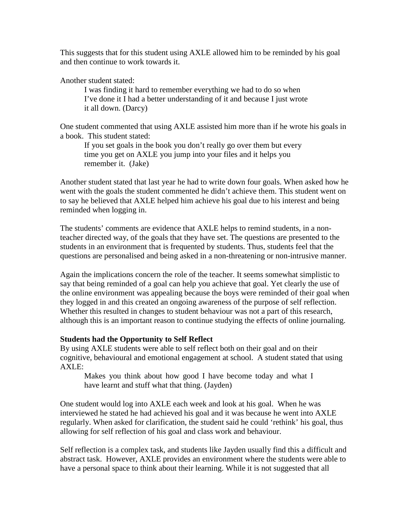This suggests that for this student using AXLE allowed him to be reminded by his goal and then continue to work towards it.

Another student stated:

I was finding it hard to remember everything we had to do so when I've done it I had a better understanding of it and because I just wrote it all down. (Darcy)

One student commented that using AXLE assisted him more than if he wrote his goals in a book. This student stated:

If you set goals in the book you don't really go over them but every time you get on AXLE you jump into your files and it helps you remember it. (Jake)

Another student stated that last year he had to write down four goals. When asked how he went with the goals the student commented he didn't achieve them. This student went on to say he believed that AXLE helped him achieve his goal due to his interest and being reminded when logging in.

The students' comments are evidence that AXLE helps to remind students, in a nonteacher directed way, of the goals that they have set. The questions are presented to the students in an environment that is frequented by students. Thus, students feel that the questions are personalised and being asked in a non-threatening or non-intrusive manner.

Again the implications concern the role of the teacher. It seems somewhat simplistic to say that being reminded of a goal can help you achieve that goal. Yet clearly the use of the online environment was appealing because the boys were reminded of their goal when they logged in and this created an ongoing awareness of the purpose of self reflection. Whether this resulted in changes to student behaviour was not a part of this research, although this is an important reason to continue studying the effects of online journaling.

### **Students had the Opportunity to Self Reflect**

By using AXLE students were able to self reflect both on their goal and on their cognitive, behavioural and emotional engagement at school. A student stated that using AXLE:

Makes you think about how good I have become today and what I have learnt and stuff what that thing. (Jayden)

One student would log into AXLE each week and look at his goal. When he was interviewed he stated he had achieved his goal and it was because he went into AXLE regularly. When asked for clarification, the student said he could 'rethink' his goal, thus allowing for self reflection of his goal and class work and behaviour.

Self reflection is a complex task, and students like Jayden usually find this a difficult and abstract task. However, AXLE provides an environment where the students were able to have a personal space to think about their learning. While it is not suggested that all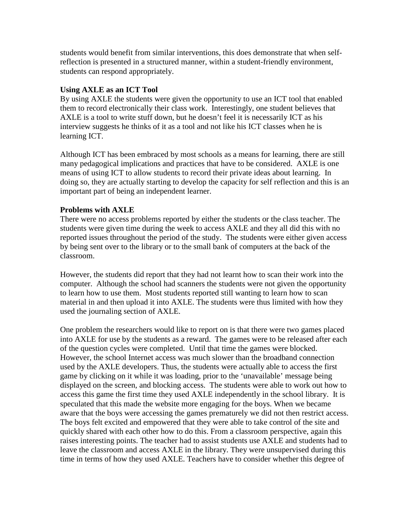students would benefit from similar interventions, this does demonstrate that when selfreflection is presented in a structured manner, within a student-friendly environment, students can respond appropriately.

### **Using AXLE as an ICT Tool**

By using AXLE the students were given the opportunity to use an ICT tool that enabled them to record electronically their class work. Interestingly, one student believes that AXLE is a tool to write stuff down, but he doesn't feel it is necessarily ICT as his interview suggests he thinks of it as a tool and not like his ICT classes when he is learning ICT.

Although ICT has been embraced by most schools as a means for learning, there are still many pedagogical implications and practices that have to be considered. AXLE is one means of using ICT to allow students to record their private ideas about learning. In doing so, they are actually starting to develop the capacity for self reflection and this is an important part of being an independent learner.

### **Problems with AXLE**

There were no access problems reported by either the students or the class teacher. The students were given time during the week to access AXLE and they all did this with no reported issues throughout the period of the study. The students were either given access by being sent over to the library or to the small bank of computers at the back of the classroom.

However, the students did report that they had not learnt how to scan their work into the computer. Although the school had scanners the students were not given the opportunity to learn how to use them. Most students reported still wanting to learn how to scan material in and then upload it into AXLE. The students were thus limited with how they used the journaling section of AXLE.

One problem the researchers would like to report on is that there were two games placed into AXLE for use by the students as a reward. The games were to be released after each of the question cycles were completed. Until that time the games were blocked. However, the school Internet access was much slower than the broadband connection used by the AXLE developers. Thus, the students were actually able to access the first game by clicking on it while it was loading, prior to the 'unavailable' message being displayed on the screen, and blocking access. The students were able to work out how to access this game the first time they used AXLE independently in the school library. It is speculated that this made the website more engaging for the boys. When we became aware that the boys were accessing the games prematurely we did not then restrict access. The boys felt excited and empowered that they were able to take control of the site and quickly shared with each other how to do this. From a classroom perspective, again this raises interesting points. The teacher had to assist students use AXLE and students had to leave the classroom and access AXLE in the library. They were unsupervised during this time in terms of how they used AXLE. Teachers have to consider whether this degree of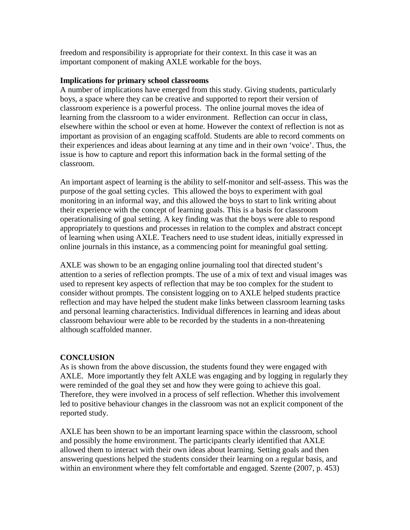freedom and responsibility is appropriate for their context. In this case it was an important component of making AXLE workable for the boys.

### **Implications for primary school classrooms**

A number of implications have emerged from this study. Giving students, particularly boys, a space where they can be creative and supported to report their version of classroom experience is a powerful process. The online journal moves the idea of learning from the classroom to a wider environment. Reflection can occur in class, elsewhere within the school or even at home. However the context of reflection is not as important as provision of an engaging scaffold. Students are able to record comments on their experiences and ideas about learning at any time and in their own 'voice'. Thus, the issue is how to capture and report this information back in the formal setting of the classroom.

An important aspect of learning is the ability to self-monitor and self-assess. This was the purpose of the goal setting cycles. This allowed the boys to experiment with goal monitoring in an informal way, and this allowed the boys to start to link writing about their experience with the concept of learning goals. This is a basis for classroom operationalising of goal setting. A key finding was that the boys were able to respond appropriately to questions and processes in relation to the complex and abstract concept of learning when using AXLE. Teachers need to use student ideas, initially expressed in online journals in this instance, as a commencing point for meaningful goal setting.

AXLE was shown to be an engaging online journaling tool that directed student's attention to a series of reflection prompts. The use of a mix of text and visual images was used to represent key aspects of reflection that may be too complex for the student to consider without prompts. The consistent logging on to AXLE helped students practice reflection and may have helped the student make links between classroom learning tasks and personal learning characteristics. Individual differences in learning and ideas about classroom behaviour were able to be recorded by the students in a non-threatening although scaffolded manner.

### **CONCLUSION**

As is shown from the above discussion, the students found they were engaged with AXLE. More importantly they felt AXLE was engaging and by logging in regularly they were reminded of the goal they set and how they were going to achieve this goal. Therefore, they were involved in a process of self reflection. Whether this involvement led to positive behaviour changes in the classroom was not an explicit component of the reported study.

AXLE has been shown to be an important learning space within the classroom, school and possibly the home environment. The participants clearly identified that AXLE allowed them to interact with their own ideas about learning. Setting goals and then answering questions helped the students consider their learning on a regular basis, and within an environment where they felt comfortable and engaged. Szente (2007, p. 453)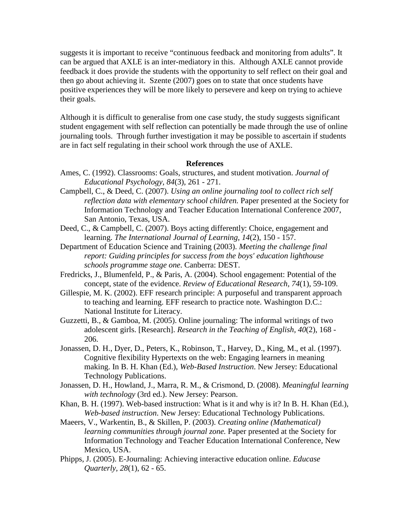suggests it is important to receive "continuous feedback and monitoring from adults". It can be argued that AXLE is an inter-mediatory in this. Although AXLE cannot provide feedback it does provide the students with the opportunity to self reflect on their goal and then go about achieving it. Szente (2007) goes on to state that once students have positive experiences they will be more likely to persevere and keep on trying to achieve their goals.

Although it is difficult to generalise from one case study, the study suggests significant student engagement with self reflection can potentially be made through the use of online journaling tools. Through further investigation it may be possible to ascertain if students are in fact self regulating in their school work through the use of AXLE.

#### **References**

- Ames, C. (1992). Classrooms: Goals, structures, and student motivation. *Journal of Educational Psychology, 84*(3), 261 - 271.
- Campbell, C., & Deed, C. (2007). *Using an online journaling tool to collect rich self reflection data with elementary school children.* Paper presented at the Society for Information Technology and Teacher Education International Conference 2007, San Antonio, Texas, USA.
- Deed, C., & Campbell, C. (2007). Boys acting differently: Choice, engagement and learning. *The International Journal of Learning, 14*(2), 150 - 157.
- Department of Education Science and Training (2003). *Meeting the challenge final report: Guiding principles for success from the boys' education lighthouse schools programme stage one*. Canberra: DEST.
- Fredricks, J., Blumenfeld, P., & Paris, A. (2004). School engagement: Potential of the concept, state of the evidence. *Review of Educational Research, 74*(1), 59-109.
- Gillespie, M. K. (2002). EFF research principle: A purposeful and transparent approach to teaching and learning. EFF research to practice note. Washington D.C.: National Institute for Literacy.
- Guzzetti, B., & Gamboa, M. (2005). Online journaling: The informal writings of two adolescent girls. [Research]. *Research in the Teaching of English, 40*(2), 168 - 206.
- Jonassen, D. H., Dyer, D., Peters, K., Robinson, T., Harvey, D., King, M., et al. (1997). Cognitive flexibility Hypertexts on the web: Engaging learners in meaning making. In B. H. Khan (Ed.), *Web-Based Instruction*. New Jersey: Educational Technology Publications.
- Jonassen, D. H., Howland, J., Marra, R. M., & Crismond, D. (2008). *Meaningful learning with technology* (3rd ed.). New Jersey: Pearson.
- Khan, B. H. (1997). Web-based instruction: What is it and why is it? In B. H. Khan (Ed.), *Web-based instruction*. New Jersey: Educational Technology Publications.
- Maeers, V., Warkentin, B., & Skillen, P. (2003). *Creating online (Mathematical) learning communities through journal zone.* Paper presented at the Society for Information Technology and Teacher Education International Conference, New Mexico, USA.
- Phipps, J. (2005). E-Journaling: Achieving interactive education online. *Educase Quarterly, 28*(1), 62 - 65.